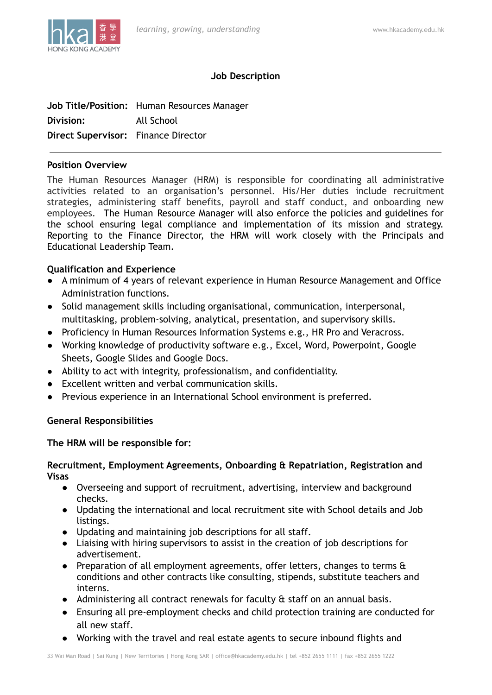

# **Job Description**

|                                     | Job Title/Position: Human Resources Manager |
|-------------------------------------|---------------------------------------------|
| Division:                           | All School                                  |
| Direct Supervisor: Finance Director |                                             |

### **Position Overview**

The Human Resources Manager (HRM) is responsible for coordinating all administrative activities related to an organisation's personnel. His/Her duties include recruitment strategies, administering staff benefits, payroll and staff conduct, and onboarding new employees. The Human Resource Manager will also enforce the policies and guidelines for the school ensuring legal compliance and implementation of its mission and strategy. Reporting to the Finance Director, the HRM will work closely with the Principals and Educational Leadership Team.

# **Qualification and Experience**

- A minimum of 4 years of relevant experience in Human Resource Management and Office Administration functions.
- Solid management skills including organisational, communication, interpersonal, multitasking, problem-solving, analytical, presentation, and supervisory skills.
- Proficiency in Human Resources Information Systems e.g., HR Pro and Veracross.
- Working knowledge of productivity software e.g., Excel, Word, Powerpoint, Google Sheets, Google Slides and Google Docs.
- Ability to act with integrity, professionalism, and confidentiality.
- Excellent written and verbal communication skills.
- Previous experience in an International School environment is preferred.

# **General Responsibilities**

# **The HRM will be responsible for:**

#### **Recruitment, Employment Agreements, Onboarding & Repatriation, Registration and Visas**

- Overseeing and support of recruitment, advertising, interview and background checks.
- Updating the international and local recruitment site with School details and Job listings.
- Updating and maintaining job descriptions for all staff.
- Liaising with hiring supervisors to assist in the creation of job descriptions for advertisement.
- Preparation of all employment agreements, offer letters, changes to terms  $\mathbf{\hat{a}}$ conditions and other contracts like consulting, stipends, substitute teachers and interns.
- **●** Administering all contract renewals for faculty & staff on an annual basis.
- **●** Ensuring all pre-employment checks and child protection training are conducted for all new staff.
- Working with the travel and real estate agents to secure inbound flights and